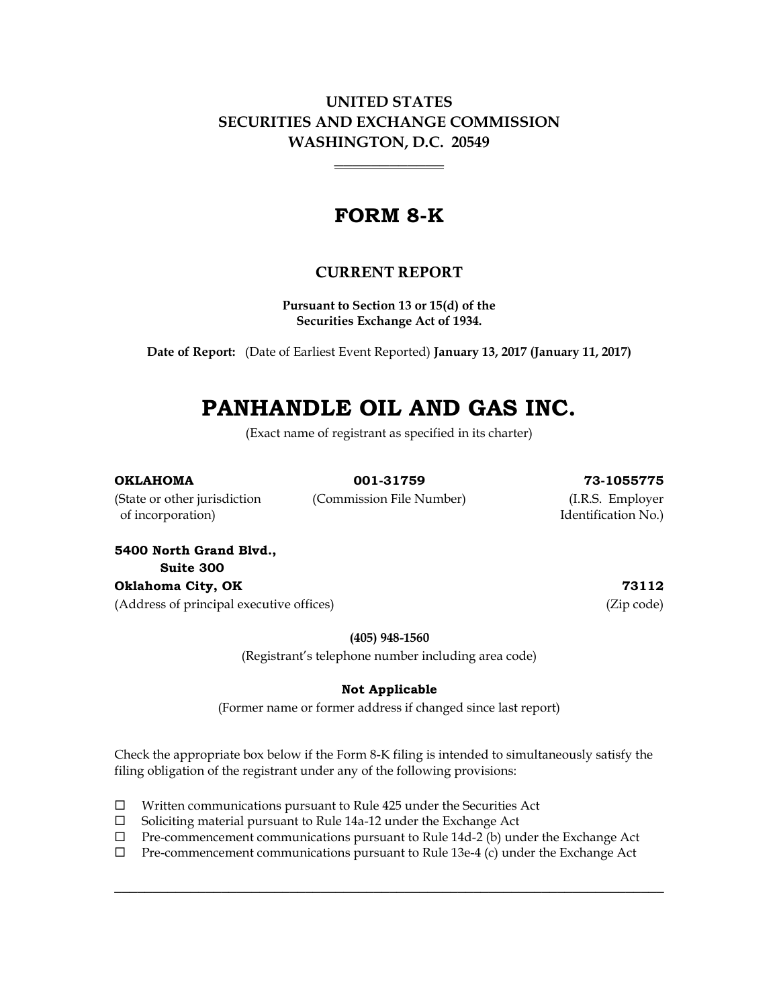**UNITED STATES SECURITIES AND EXCHANGE COMMISSION WASHINGTON, D.C. 20549**

\_\_\_\_\_\_\_\_\_\_\_\_

## **FORM 8-K**

### CURRENT REPORT

**Pursuant to Section 13 or 15(d) of the Securities Exchange Act of 1934.**

**Date of Report:** (Date of Earliest Event Reported) **January 13, 2017 (January 11, 2017)**

# **PANHANDLE OIL AND GAS INC.**

(Exact name of registrant as specified in its charter)

#### **OKLAHOMA 001-31759 73-1055775**

of incorporation) and incorporation  $\mathbb{N}$  of incorporation  $\mathbb{N}$ .

(State or other jurisdiction (Commission File Number) (I.R.S. Employer

**5400 North Grand Blvd., Suite 300 Oklahoma City, OK 73112** (Address of principal executive offices) (Zip code)

**(405) 948-1560**

(Registrant's telephone number including area code)

#### **Not Applicable**

(Former name or former address if changed since last report)

Check the appropriate box below if the Form 8-K filing is intended to simultaneously satisfy the filing obligation of the registrant under any of the following provisions:

- $\Box$  Written communications pursuant to Rule 425 under the Securities Act
- $\Box$  Soliciting material pursuant to Rule 14a-12 under the Exchange Act
- $\Box$  Pre-commencement communications pursuant to Rule 14d-2 (b) under the Exchange Act
- Pre-commencement communications pursuant to Rule 13e-4 (c) under the Exchange Act

 $\_$  , and the set of the set of the set of the set of the set of the set of the set of the set of the set of the set of the set of the set of the set of the set of the set of the set of the set of the set of the set of th